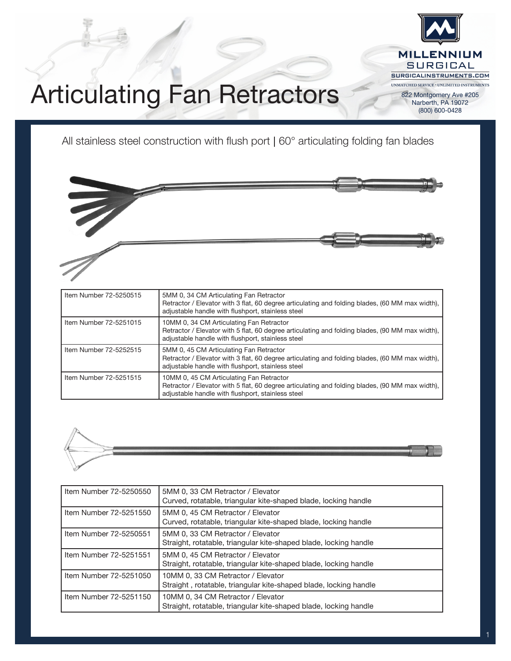

(800) 600-0428

## Articulating Fan Retractors

All stainless steel construction with flush port | 60° articulating folding fan blades



| Item Number 72-5250515 | 5MM 0, 34 CM Articulating Fan Retractor<br>Retractor / Elevator with 3 flat, 60 degree articulating and folding blades, (60 MM max width),<br>adjustable handle with flushport, stainless steel  |
|------------------------|--------------------------------------------------------------------------------------------------------------------------------------------------------------------------------------------------|
| Item Number 72-5251015 | 10MM 0, 34 CM Articulating Fan Retractor<br>Retractor / Elevator with 5 flat, 60 degree articulating and folding blades, (90 MM max width),<br>adjustable handle with flushport, stainless steel |
| Item Number 72-5252515 | 5MM 0, 45 CM Articulating Fan Retractor<br>Retractor / Elevator with 3 flat, 60 degree articulating and folding blades, (60 MM max width),<br>adjustable handle with flushport, stainless steel  |
| Item Number 72-5251515 | 10MM 0, 45 CM Articulating Fan Retractor<br>Retractor / Elevator with 5 flat, 60 degree articulating and folding blades, (90 MM max width),<br>adjustable handle with flushport, stainless steel |



| Item Number 72-5250550 | 5MM 0, 33 CM Retractor / Elevator<br>Curved, rotatable, triangular kite-shaped blade, locking handle    |  |
|------------------------|---------------------------------------------------------------------------------------------------------|--|
| Item Number 72-5251550 | 5MM 0, 45 CM Retractor / Elevator<br>Curved, rotatable, triangular kite-shaped blade, locking handle    |  |
| Item Number 72-5250551 | 5MM 0, 33 CM Retractor / Elevator<br>Straight, rotatable, triangular kite-shaped blade, locking handle  |  |
| Item Number 72-5251551 | 5MM 0, 45 CM Retractor / Elevator<br>Straight, rotatable, triangular kite-shaped blade, locking handle  |  |
| Item Number 72-5251050 | 10MM 0, 33 CM Retractor / Elevator<br>Straight, rotatable, triangular kite-shaped blade, locking handle |  |
| Item Number 72-5251150 | 10MM 0, 34 CM Retractor / Elevator<br>Straight, rotatable, triangular kite-shaped blade, locking handle |  |